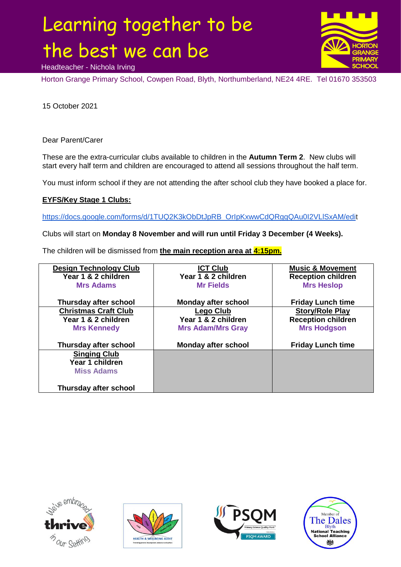## Learning together to be the best we can be



Headteacher - Nichola Irving

Horton Grange Primary School, Cowpen Road, Blyth, Northumberland, NE24 4RE. Tel 01670 353503

15 October 2021

Dear Parent/Carer

These are the extra-curricular clubs available to children in the **Autumn Term 2**. New clubs will start every half term and children are encouraged to attend all sessions throughout the half term.

You must inform school if they are not attending the after school club they have booked a place for.

## **EYFS/Key Stage 1 Clubs:**

[https://docs.google.com/forms/d/1TUQ2K3kObDtJpRB\\_OrIpKxwwCdQRggQAu0I2VLlSxAM/edit](https://docs.google.com/forms/d/1TUQ2K3kObDtJpRB_OrIpKxwwCdQRggQAu0I2VLlSxAM/edi)

Clubs will start on **Monday 8 November and will run until Friday 3 December (4 Weeks).**

The children will be dismissed from **the main reception area at 4:15pm.**

| <b>Design Technology Club</b><br>Year 1 & 2 children | <b>ICT Club</b><br>Year 1 & 2 children | <b>Music &amp; Movement</b><br><b>Reception children</b> |
|------------------------------------------------------|----------------------------------------|----------------------------------------------------------|
| <b>Mrs Adams</b>                                     | <b>Mr Fields</b>                       | <b>Mrs Heslop</b>                                        |
| Thursday after school                                | <b>Monday after school</b>             | <b>Friday Lunch time</b>                                 |
| <b>Christmas Craft Club</b>                          | <b>Lego Club</b>                       | <b>Story/Role Play</b>                                   |
| Year 1 & 2 children                                  | Year 1 & 2 children                    | <b>Reception children</b>                                |
| <b>Mrs Kennedy</b>                                   | <b>Mrs Adam/Mrs Gray</b>               | <b>Mrs Hodgson</b>                                       |
| Thursday after school                                | <b>Monday after school</b>             | <b>Friday Lunch time</b>                                 |
| <b>Singing Club</b>                                  |                                        |                                                          |
| Year 1 children                                      |                                        |                                                          |
| <b>Miss Adams</b>                                    |                                        |                                                          |
| Thursday after school                                |                                        |                                                          |